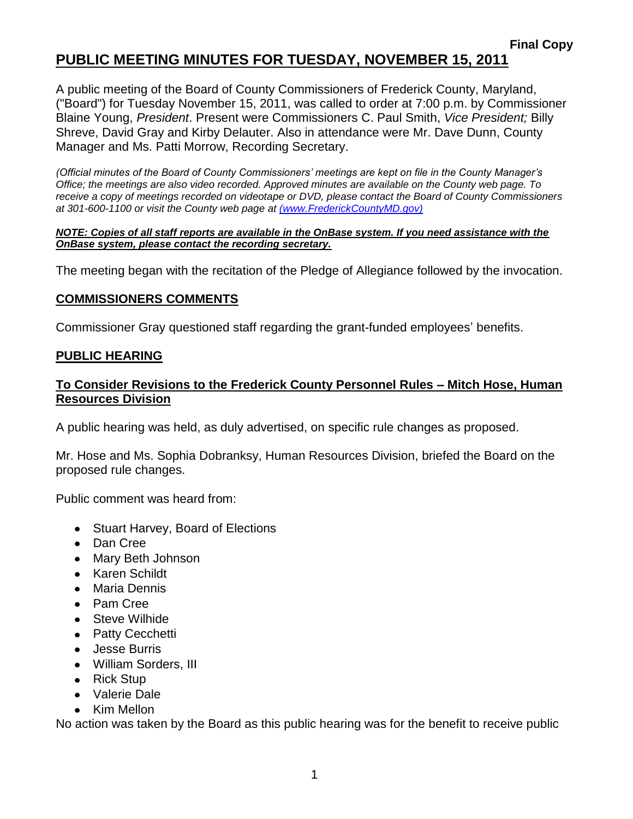# **PUBLIC MEETING MINUTES FOR TUESDAY, NOVEMBER 15, 2011**

A public meeting of the Board of County Commissioners of Frederick County, Maryland, ("Board") for Tuesday November 15, 2011, was called to order at 7:00 p.m. by Commissioner Blaine Young, *President*. Present were Commissioners C. Paul Smith, *Vice President;* Billy Shreve, David Gray and Kirby Delauter. Also in attendance were Mr. Dave Dunn, County Manager and Ms. Patti Morrow, Recording Secretary.

*(Official minutes of the Board of County Commissioners' meetings are kept on file in the County Manager's Office; the meetings are also video recorded. Approved minutes are available on the County web page. To receive a copy of meetings recorded on videotape or DVD, please contact the Board of County Commissioners at 301-600-1100 or visit the County web page at [\(www.FrederickCountyMD.gov\)](file://NT1S5/BOCC/BOCC/BOCC%20Minutes/Patti)*

#### *NOTE: Copies of all staff reports are available in the OnBase system. If you need assistance with the OnBase system, please contact the recording secretary.*

The meeting began with the recitation of the Pledge of Allegiance followed by the invocation.

#### **COMMISSIONERS COMMENTS**

Commissioner Gray questioned staff regarding the grant-funded employees' benefits.

#### **PUBLIC HEARING**

### **To Consider Revisions to the Frederick County Personnel Rules – Mitch Hose, Human Resources Division**

A public hearing was held, as duly advertised, on specific rule changes as proposed.

Mr. Hose and Ms. Sophia Dobranksy, Human Resources Division, briefed the Board on the proposed rule changes.

Public comment was heard from:

- Stuart Harvey, Board of Elections
- Dan Cree
- Mary Beth Johnson
- Karen Schildt
- Maria Dennis
- Pam Cree
- Steve Wilhide
- Patty Cecchetti
- Jesse Burris
- William Sorders, III
- Rick Stup
- Valerie Dale
- Kim Mellon

No action was taken by the Board as this public hearing was for the benefit to receive public